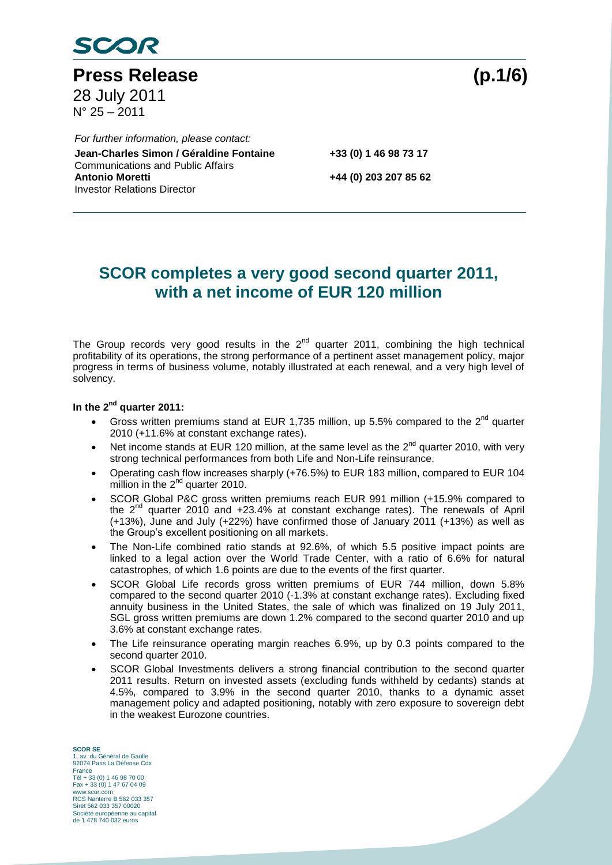

**Press Release (p.1/6)** 28 July 2011  $N^{\circ}$  25 – 2011

Co **Jean-Charles Simon / Géraldine Fontaine +33 (0) 1 46 98 73 17** *For further information, please contact:* Communications and Public Affairs<br>Antonio Moretti Investor Relations Director

**Antonio Moretti +44 (0) 203 207 85 62**

## **SCOR completes a very good second quarter 2011, with a net income of EUR 120 million**

The Group records very good results in the  $2^{nd}$  quarter 2011, combining the high technical profitability of its operations, the strong performance of a pertinent asset management policy, major progress in terms of business volume, notably illustrated at each renewal, and a very high level of solvency.

#### **In the 2nd quarter 2011:**

- Gross written premiums stand at EUR 1,735 million, up 5.5% compared to the  $2^{nd}$  quarter 2010 (+11.6% at constant exchange rates).
- Net income stands at EUR 120 million, at the same level as the  $2^{nd}$  quarter 2010, with very strong technical performances from both Life and Non-Life reinsurance.
- Operating cash flow increases sharply (+76.5%) to EUR 183 million, compared to EUR 104 million in the  $2<sup>nd</sup>$  quarter 2010.
- SCOR Global P&C gross written premiums reach EUR 991 million (+15.9% compared to the  $2^{nd}$  quarter 2010 and  $+23.4%$  at constant exchange rates). The renewals of April (+13%), June and July (+22%) have confirmed those of January 2011 (+13%) as well as the Group's excellent positioning on all markets.
- The Non-Life combined ratio stands at 92.6%, of which 5.5 positive impact points are linked to a legal action over the World Trade Center, with a ratio of 6.6% for natural catastrophes, of which 1.6 points are due to the events of the first quarter.
- SCOR Global Life records gross written premiums of EUR 744 million, down 5.8% compared to the second quarter 2010 (-1.3% at constant exchange rates). Excluding fixed annuity business in the United States, the sale of which was finalized on 19 July 2011, SGL gross written premiums are down 1.2% compared to the second quarter 2010 and up 3.6% at constant exchange rates.
- The Life reinsurance operating margin reaches 6.9%, up by 0.3 points compared to the second quarter 2010.
- SCOR Global Investments delivers a strong financial contribution to the second quarter 2011 results. Return on invested assets (excluding funds withheld by cedants) stands at 4.5%, compared to 3.9% in the second quarter 2010, thanks to a dynamic asset management policy and adapted positioning, notably with zero exposure to sovereign debt in the weakest Eurozone countries.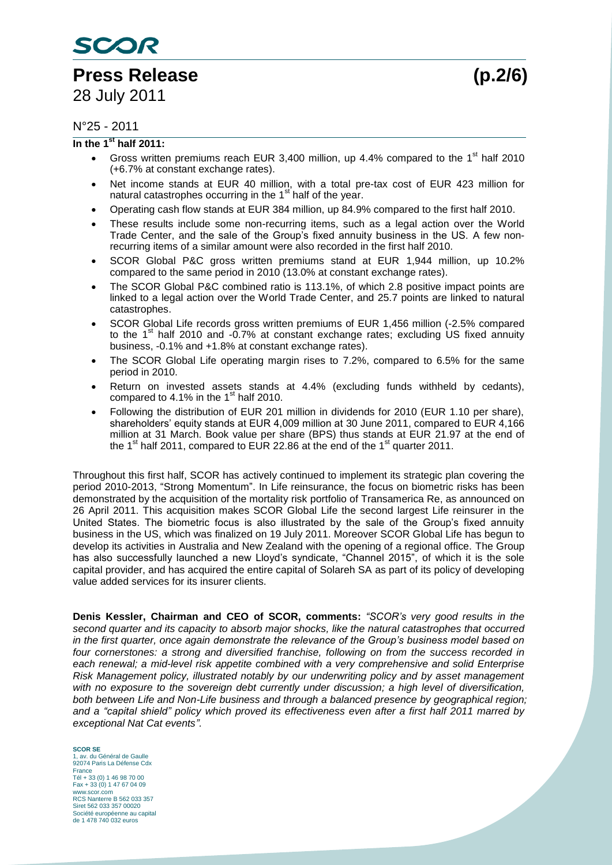# **Press Release (p.2/6)**

#### N°25 - 2011

#### **In the 1st half 2011:**

- Gross written premiums reach EUR 3,400 million, up 4.4% compared to the  $1<sup>st</sup>$  half 2010 (+6.7% at constant exchange rates).
- Net income stands at EUR 40 million, with a total pre-tax cost of EUR 423 million for natural catastrophes occurring in the 1<sup>st</sup> half of the year.
- Operating cash flow stands at EUR 384 million, up 84.9% compared to the first half 2010.
- These results include some non-recurring items, such as a legal action over the World Trade Center, and the sale of the Group's fixed annuity business in the US. A few nonrecurring items of a similar amount were also recorded in the first half 2010.
- SCOR Global P&C gross written premiums stand at EUR 1,944 million, up 10.2% compared to the same period in 2010 (13.0% at constant exchange rates).
- The SCOR Global P&C combined ratio is 113.1%, of which 2.8 positive impact points are linked to a legal action over the World Trade Center, and 25.7 points are linked to natural catastrophes.
- SCOR Global Life records gross written premiums of EUR 1,456 million (-2.5% compared to the  $1<sup>st</sup>$  half 2010 and -0.7% at constant exchange rates; excluding US fixed annuity business, -0.1% and +1.8% at constant exchange rates).
- The SCOR Global Life operating margin rises to 7.2%, compared to 6.5% for the same period in 2010.
- Return on invested assets stands at 4.4% (excluding funds withheld by cedants), compared to 4.1% in the  $1<sup>st</sup>$  half 2010.
- Following the distribution of EUR 201 million in dividends for 2010 (EUR 1.10 per share), shareholders' equity stands at EUR 4,009 million at 30 June 2011, compared to EUR 4,166 million at 31 March. Book value per share (BPS) thus stands at EUR 21.97 at the end of the 1<sup>st</sup> half 2011, compared to EUR 22.86 at the end of the 1<sup>st</sup> quarter 2011.

Throughout this first half, SCOR has actively continued to implement its strategic plan covering the period 2010-2013, "Strong Momentum". In Life reinsurance, the focus on biometric risks has been demonstrated by the acquisition of the mortality risk portfolio of Transamerica Re, as announced on 26 April 2011. This acquisition makes SCOR Global Life the second largest Life reinsurer in the United States. The biometric focus is also illustrated by the sale of the Group's fixed annuity business in the US, which was finalized on 19 July 2011. Moreover SCOR Global Life has begun to develop its activities in Australia and New Zealand with the opening of a regional office. The Group has also successfully launched a new Lloyd's syndicate, "Channel 2015", of which it is the sole capital provider, and has acquired the entire capital of Solareh SA as part of its policy of developing value added services for its insurer clients.

**Denis Kessler, Chairman and CEO of SCOR, comments:** *"SCOR's very good results in the second quarter and its capacity to absorb major shocks, like the natural catastrophes that occurred in the first quarter, once again demonstrate the relevance of the Group's business model based on four cornerstones: a strong and diversified franchise, following on from the success recorded in each renewal; a mid-level risk appetite combined with a very comprehensive and solid Enterprise Risk Management policy, illustrated notably by our underwriting policy and by asset management with no exposure to the sovereign debt currently under discussion; a high level of diversification, both between Life and Non-Life business and through a balanced presence by geographical region; and a "capital shield" policy which proved its effectiveness even after a first half 2011 marred by exceptional Nat Cat events".*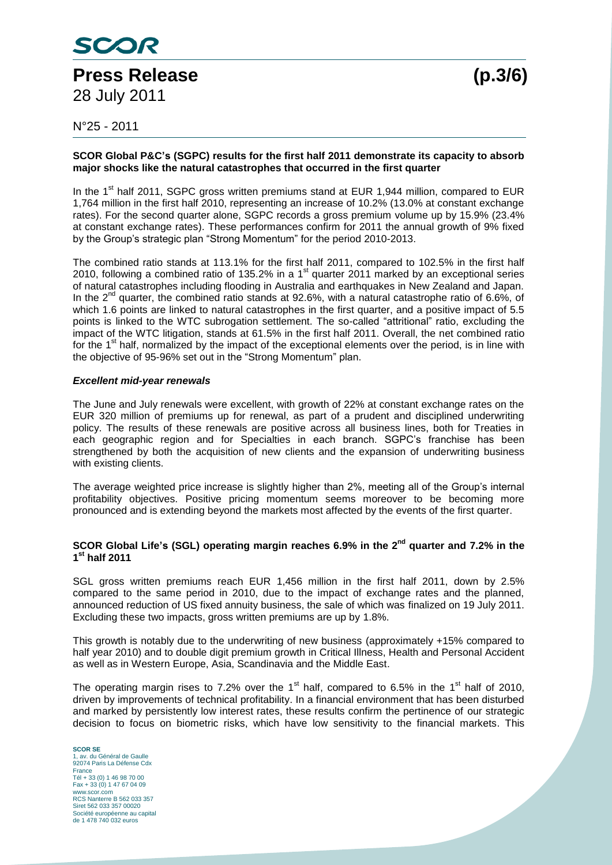

N°25 - 2011

#### **SCOR Global P&C's (SGPC) results for the first half 2011 demonstrate its capacity to absorb major shocks like the natural catastrophes that occurred in the first quarter**

In the 1<sup>st</sup> half 2011, SGPC gross written premiums stand at EUR 1,944 million, compared to EUR 1,764 million in the first half 2010, representing an increase of 10.2% (13.0% at constant exchange rates). For the second quarter alone, SGPC records a gross premium volume up by 15.9% (23.4% at constant exchange rates). These performances confirm for 2011 the annual growth of 9% fixed by the Group's strategic plan "Strong Momentum" for the period 2010-2013.

The combined ratio stands at 113.1% for the first half 2011, compared to 102.5% in the first half 2010, following a combined ratio of 135.2% in a 1<sup>st</sup> quarter 2011 marked by an exceptional series of natural catastrophes including flooding in Australia and earthquakes in New Zealand and Japan. In the 2<sup>nd</sup> quarter, the combined ratio stands at 92.6%, with a natural catastrophe ratio of 6.6%, of which 1.6 points are linked to natural catastrophes in the first quarter, and a positive impact of 5.5 points is linked to the WTC subrogation settlement. The so-called "attritional" ratio, excluding the impact of the WTC litigation, stands at 61.5% in the first half 2011. Overall, the net combined ratio for the 1<sup>st</sup> half, normalized by the impact of the exceptional elements over the period, is in line with the objective of 95-96% set out in the "Strong Momentum" plan.

#### *Excellent mid-year renewals*

The June and July renewals were excellent, with growth of 22% at constant exchange rates on the EUR 320 million of premiums up for renewal, as part of a prudent and disciplined underwriting policy. The results of these renewals are positive across all business lines, both for Treaties in each geographic region and for Specialties in each branch. SGPC's franchise has been strengthened by both the acquisition of new clients and the expansion of underwriting business with existing clients.

The average weighted price increase is slightly higher than 2%, meeting all of the Group's internal profitability objectives. Positive pricing momentum seems moreover to be becoming more pronounced and is extending beyond the markets most affected by the events of the first quarter.

#### **SCOR Global Life's (SGL) operating margin reaches 6.9% in the 2nd quarter and 7.2% in the 1 st half 2011**

SGL gross written premiums reach EUR 1,456 million in the first half 2011, down by 2.5% compared to the same period in 2010, due to the impact of exchange rates and the planned, announced reduction of US fixed annuity business, the sale of which was finalized on 19 July 2011. Excluding these two impacts, gross written premiums are up by 1.8%.

This growth is notably due to the underwriting of new business (approximately +15% compared to half year 2010) and to double digit premium growth in Critical Illness, Health and Personal Accident as well as in Western Europe, Asia, Scandinavia and the Middle East.

The operating margin rises to 7.2% over the 1<sup>st</sup> half, compared to 6.5% in the 1<sup>st</sup> half of 2010, driven by improvements of technical profitability. In a financial environment that has been disturbed and marked by persistently low interest rates, these results confirm the pertinence of our strategic decision to focus on biometric risks, which have low sensitivity to the financial markets. This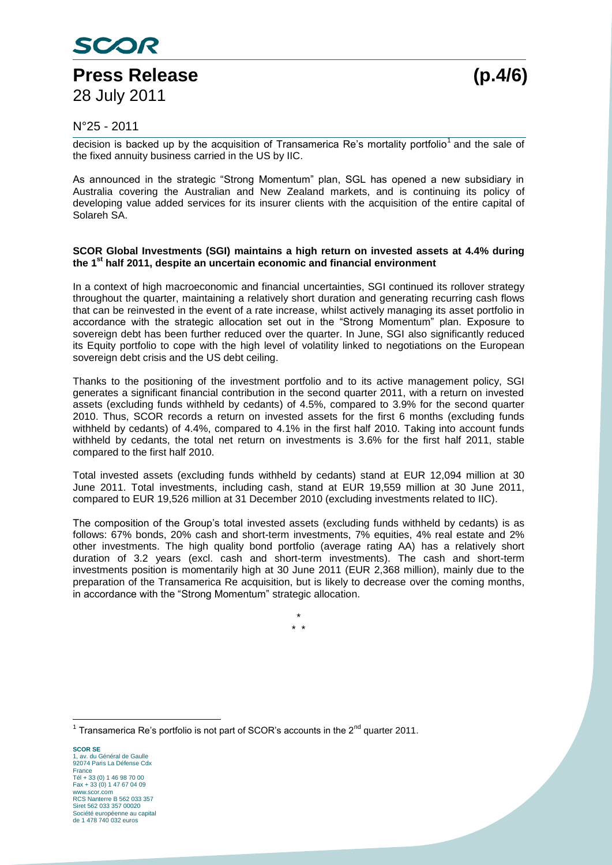

#### N°25 - 2011

decision is backed up by the acquisition of Transamerica Re's mortality portfolio<sup>1</sup> and the sale of the fixed annuity business carried in the US by IIC.

As announced in the strategic "Strong Momentum" plan, SGL has opened a new subsidiary in Australia covering the Australian and New Zealand markets, and is continuing its policy of developing value added services for its insurer clients with the acquisition of the entire capital of Solareh SA.

#### **SCOR Global Investments (SGI) maintains a high return on invested assets at 4.4% during the 1st half 2011, despite an uncertain economic and financial environment**

In a context of high macroeconomic and financial uncertainties, SGI continued its rollover strategy throughout the quarter, maintaining a relatively short duration and generating recurring cash flows that can be reinvested in the event of a rate increase, whilst actively managing its asset portfolio in accordance with the strategic allocation set out in the "Strong Momentum" plan. Exposure to sovereign debt has been further reduced over the quarter. In June, SGI also significantly reduced its Equity portfolio to cope with the high level of volatility linked to negotiations on the European sovereign debt crisis and the US debt ceiling.

Thanks to the positioning of the investment portfolio and to its active management policy, SGI generates a significant financial contribution in the second quarter 2011, with a return on invested assets (excluding funds withheld by cedants) of 4.5%, compared to 3.9% for the second quarter 2010. Thus, SCOR records a return on invested assets for the first 6 months (excluding funds withheld by cedants) of 4.4%, compared to 4.1% in the first half 2010. Taking into account funds withheld by cedants, the total net return on investments is 3.6% for the first half 2011, stable compared to the first half 2010.

Total invested assets (excluding funds withheld by cedants) stand at EUR 12,094 million at 30 June 2011. Total investments, including cash, stand at EUR 19,559 million at 30 June 2011, compared to EUR 19,526 million at 31 December 2010 (excluding investments related to IIC).

The composition of the Group's total invested assets (excluding funds withheld by cedants) is as follows: 67% bonds, 20% cash and short-term investments, 7% equities, 4% real estate and 2% other investments. The high quality bond portfolio (average rating AA) has a relatively short duration of 3.2 years (excl. cash and short-term investments). The cash and short-term investments position is momentarily high at 30 June 2011 (EUR 2,368 million), mainly due to the preparation of the Transamerica Re acquisition, but is likely to decrease over the coming months, in accordance with the "Strong Momentum" strategic allocation.

> \* \* \*

**SCOR SE** 1, av. du Général de Gaulle 92074 Paris La Défense Cdx **France** Tél + 33 (0) 1 46 98 70 00 Fax + 33 (0) 1 47 67 04 09 www.scor.com RCS Nanterre B 562 033 357 Siret 562 033 357 00020 Société européenne au capital de 1 478 740 032 euros

 $\overline{a}$ 

<sup>&</sup>lt;sup>1</sup> Transamerica Re's portfolio is not part of SCOR's accounts in the 2<sup>nd</sup> quarter 2011.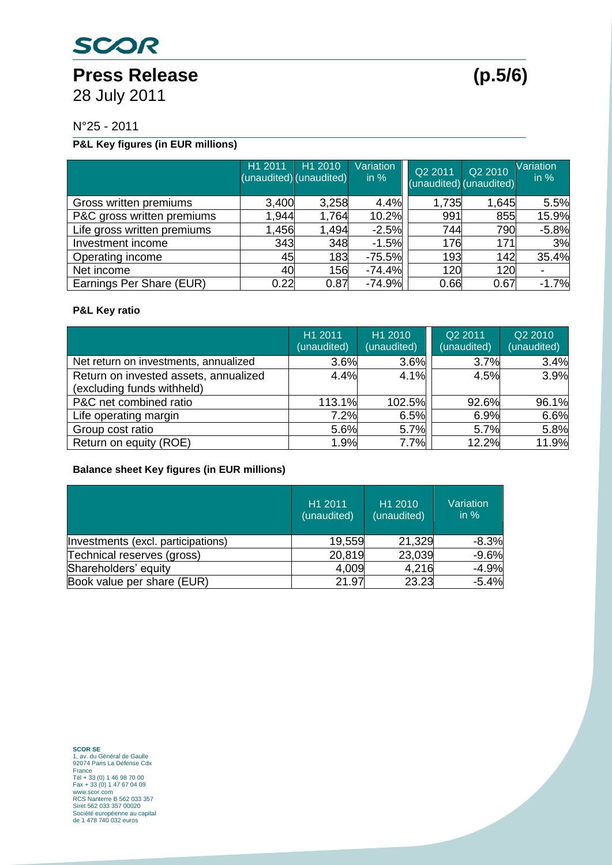Press Release (p.5/6) 28 July 2011

N°25 - 2011

### **P&L Key figures (in EUR millions)**

|                             | H1 2011 | H <sub>1</sub> 2010<br>(unaudited) (unaudited) | Variation<br>in $%$ | Q2 2011<br>(unaudited) (unaudited) | Q2 2010 | Variation<br>$\overline{\mathsf{in} \%}$ |
|-----------------------------|---------|------------------------------------------------|---------------------|------------------------------------|---------|------------------------------------------|
| Gross written premiums      | 3,400   | 3,258                                          | 4.4%                | 1,735                              | 1,645   | 5.5%                                     |
| P&C gross written premiums  | 1,944   | 1,764                                          | 10.2%               | 991                                | 855     | 15.9%                                    |
| Life gross written premiums | 1,456   | 1,494                                          | $-2.5%$             | 744                                | 790     | $-5.8%$                                  |
| Investment income           | 343     | 348                                            | $-1.5%$             | 176                                | 171     | 3%                                       |
| Operating income            | 45      | 183                                            | $-75.5%$            | 193                                | 142     | 35.4%                                    |
| Net income                  | 40      | 156                                            | $-74.4%$            | 120                                | 120     |                                          |
| Earnings Per Share (EUR)    | 0.22    | 0.87                                           | $-74.9%$            | 0.66                               | 0.67    | $-1.7%$                                  |

#### **P&L Key ratio**

|                                                                     | H1 2011<br>(unaudited) | H1 2010<br>(unaudited) | Q2 2011<br>(unaudited) | Q2 2010<br>(unaudited) |
|---------------------------------------------------------------------|------------------------|------------------------|------------------------|------------------------|
| Net return on investments, annualized                               | 3.6%                   | 3.6%                   | 3.7%                   | 3.4%                   |
| Return on invested assets, annualized<br>(excluding funds withheld) | 4.4%                   | 4.1%                   | 4.5%                   | 3.9%                   |
| P&C net combined ratio                                              | 113.1%                 | 102.5%                 | 92.6%                  | 96.1%                  |
| Life operating margin                                               | 7.2%                   | 6.5%                   | 6.9%                   | 6.6%                   |
| Group cost ratio                                                    | 5.6%                   | 5.7%                   | 5.7%                   | 5.8%                   |
| Return on equity (ROE)                                              | 1.9%                   | 7.7%                   | 12.2%                  | 11.9%                  |

#### **Balance sheet Key figures (in EUR millions)**

|                                    | H1 2011<br>(unaudited) | H <sub>1</sub> 2010<br>(unaudited) | Variation<br>in $%$ |
|------------------------------------|------------------------|------------------------------------|---------------------|
| Investments (excl. participations) | 19,559                 | 21,329                             | $-8.3%$             |
| Technical reserves (gross)         | 20,819                 | 23,039                             | $-9.6%$             |
| Shareholders' equity               | 4,009                  | 4,216                              | $-4.9%$             |
| Book value per share (EUR)         | 21.97                  | 23.23                              | $-5.4%$             |